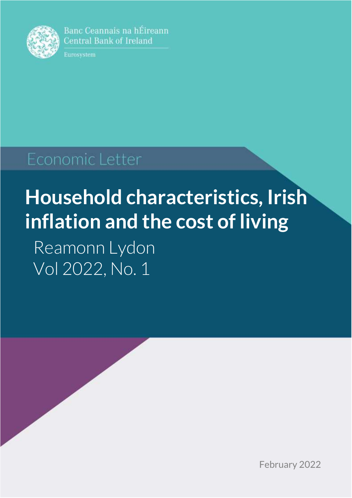

Banc Ceannais na hÉireann **Central Bank of Ireland** 

Eurosystem

## Economic Letter

# **Household characteristics, Irish inflation and the cost of living**

Reamonn Lydon Vol 2022, No. 1

February 2022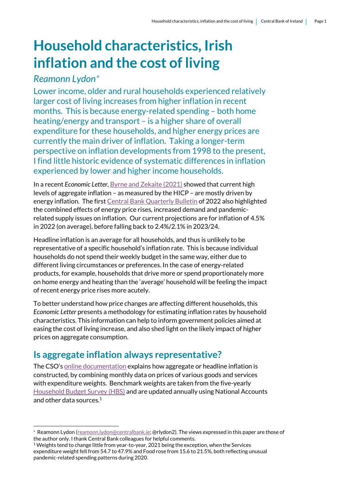## **Household characteristics, Irish inflation and the cost of living**

#### *Reamonn Lydon*

.

Lower income, older and rural households experienced relatively larger cost of living increases from higher inflation in recent months. This is because energy-related spending – both home heating/energy and transport – is a higher share of overall expenditure for these households, and higher energy prices are currently the main driver of inflation. Taking a longer-term perspective on inflation developments from 1998 to the present, I find little historic evidence of systematic differences in inflation experienced by lower and higher income households.

In a recent *Economic Letter*, [Byrne and Zekaite \(2021\)](https://www.centralbank.ie/docs/default-source/publications/economic-letters/vol-2021-no-7-an-overview-of-inflation-developments.pdf?sfvrsn=4) showed that current high levels of aggregate inflation – as measured by the HICP – are mostly driven by energy inflation. The firs[t Central Bank Quarterly Bulletin](https://www.centralbank.ie/publication/quarterly-bulletins/quarterly-bulletin-q1-2022) of 2022 also highlighted the combined effects of energy price rises, increased demand and pandemicrelated supply issues on inflation. Our current projections are for inflation of 4.5% in 2022 (on average), before falling back to 2.4%/2.1% in 2023/24.

Headline inflation is an average for all households, and thus is unlikely to be representative of a specific household's inflation rate. This is because individual households do not spend their weekly budget in the same way, either due to different living circumstances or preferences. In the case of energy-related products, for example, households that drive more or spend proportionately more on home energy and heating than the 'average' household will be feeling the impact of recent energy price rises more acutely.

To better understand how price changes are affecting different households, this *Economic Letter* presents a methodology for estimating inflation rates by household characteristics. This information can help to inform government policies aimed at easing the cost of living increase, and also shed light on the likely impact of higher prices on aggregate consumption.

### **Is aggregate inflation always representative?**

The CSO's [online documentation](https://www.cso.ie/en/interactivezone/statisticsexplained/consumerpriceindex/whatisthecpi/) explains how aggregate or headline inflation is constructed, by combining monthly data on prices of various goods and services with expenditure weights. Benchmark weights are taken from the five-yearly [Household Budget Survey](https://www.cso.ie/en/releasesandpublications/ep/p-hbs/hbs20152016/tableofcontents/) (HBS) and are updated annually using National Accounts and other data sources. $1$ 

Reamonn Lydon [\(reamonn.lydon@centralbank.ie;](mailto:reamonn.lydon@centralbank.ie) @rlydon2). The views expressed in this paper are those of the author only. I thank Central Bank colleagues for helpful comments.

<sup>&</sup>lt;sup>1</sup> Weights tend to change little from year-to-year, 2021 being the exception, when the Services expenditure weight fell from 54.7 to 47.9% and Food rose from 15.6 to 21.5%, both reflecting unusual pandemic-related spending patterns during 2020.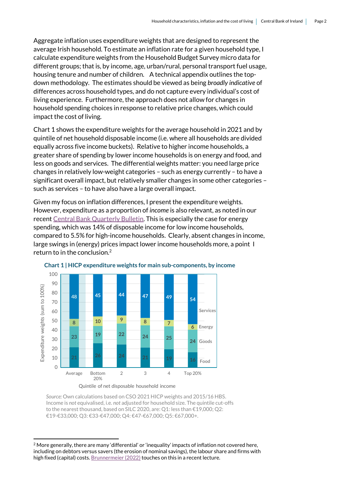Aggregate inflation uses expenditure weights that are designed to represent the average Irish household. To estimate an inflation rate for a given household type, I calculate expenditure weights from the Household Budget Survey micro data for different groups; that is, by income, age, urban/rural, personal transport fuel usage, housing tenure and number of children. A technical appendix outlines the topdown methodology. The estimates should be viewed as being *broadly indicative* of differences across household types, and do not capture every individual's cost of living experience. Furthermore, the approach does not allow for changes in household spending choices in response to relative price changes, which could impact the cost of living.

Chart 1 shows the expenditure weights for the average household in 2021 and by quintile of net household disposable income (i.e. where all households are divided equally across five income buckets). Relative to higher income households, a greater share of spending by lower income households is on energy and food, and less on goods and services. The differential weights matter: you need large price changes in relatively low-weight categories – such as energy currently – to have a significant overall impact, but relatively smaller changes in some other categories – such as services – to have also have a large overall impact.

Given my focus on inflation differences, I present the expenditure weights. However, expenditure as a proportion of *income* is also relevant, as noted in our recent [Central Bank Quarterly Bulletin.](https://www.centralbank.ie/news/article/quarterly-bulletin-2022-1-continued-strong-growth-amidst-positive-economic-outlook-26-Jan-2022) This is especially the case for energy spending, which was 14% of disposable income for low income households, compared to 5.5% for high-income households. Clearly, absent changes in income, large swings in (energy) prices impact lower income households more, a point I return to in the conclusion.<sup>2</sup>



Quintile of net disposable household income



*Source:* Own calculations based on CSO 2021 HICP weights and 2015/16 HBS. Income is *not* equivalised, i.e. *not* adjusted for household size. The quintile cut-offs to the nearest thousand, based on SILC 2020, are: Q1: less than €19,000; Q2: €19-€33,000; Q3: €33-€47,000; Q4: €47-€67,000; Q5: €67,000+.

1

 $2$  More generally, there are many 'differential' or 'inequality' impacts of inflation not covered here, including on debtors versus savers (the erosion of nominal savings), the labour share and firms with high fixed (capital) costs[. Brunnermeier](https://www.youtube.com/watch?v=sIHorfqTYDE) (2022) touches on this in a recent lecture.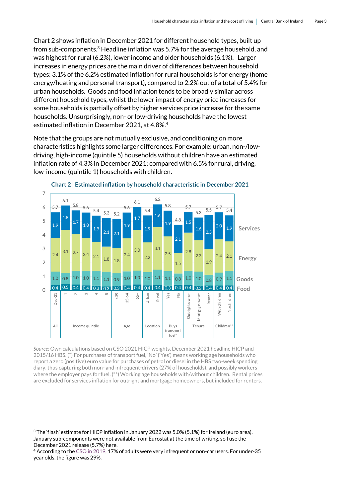Chart 2 shows inflation in December 2021 for different household types, built up from sub-components.<sup>3</sup> Headline inflation was 5.7% for the average household, and was highest for rural (6.2%), lower income and older households (6.1%). Larger increases in energy prices are the main driver of differences between household types: 3.1% of the 6.2% estimated inflation for rural households is for energy (home energy/heating and personal transport), compared to 2.2% out of a total of 5.4% for urban households. Goods and food inflation tends to be broadly similar across different household types, whilst the lower impact of energy price increases for some households is partially offset by higher services price increase for the same households. Unsurprisingly, non- or low-driving households have the lowest estimated inflation in December 2021, at 4.8%.<sup>4</sup>

Note that the groups are not mutually exclusive, and conditioning on more characteristics highlights some larger differences. For example: urban, non-/lowdriving, high-income (quintile 5) households without children have an estimated inflation rate of 4.3% in December 2021; compared with 6.5% for rural, driving, low-income (quintile 1) households with children.



**Chart 2 | Estimated inflation by household characteristic in December 2021**

*Source:* Own calculations based on CSO 2021 HICP weights, December 2021 headline HICP and 2015/16 HBS. (\*) For purchases of transport fuel, 'No' ('Yes') means working age households who report a zero (positive) euro value for purchases of petrol or diesel in the HBS two-week spending diary, thus capturing both non- and infrequent-drivers (27% of households), and possibly workers where the employer pays for fuel. (\*\*) Working age households with/without children. Rental prices are excluded for services inflation for outright and mortgage homeowners, but included for renters.

1

<sup>3</sup> The 'flash' estimate for HICP inflation in January 2022 was 5.0% (5.1%) for Ireland (euro area). January sub-components were not available from Eurostat at the time of writing, so I use the December 2021 release (5.7%) here.

<sup>4</sup> According to th[e CSO in 2019,](https://www.cso.ie/en/releasesandpublications/ep/p-nts/nationaltravelsurvey2019/carusage/) 17% of adults were very infrequent or non-car users. For under-35 year olds, the figure was 29%.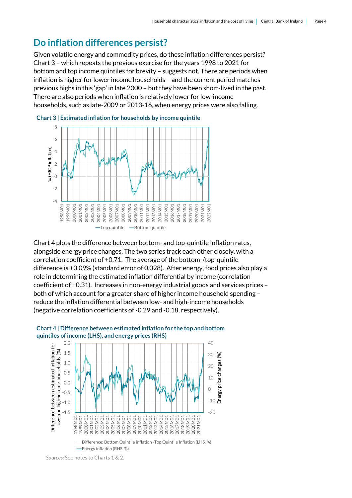#### **Do inflation differences persist?**

Given volatile energy and commodity prices, do these inflation differences persist? Chart 3 – which repeats the previous exercise for the years 1998 to 2021 for bottom and top income quintiles for brevity – suggests not. There are periods when inflation is higher for lower income households – and the current period matches previous highs in this 'gap' in late 2000 – but they have been short-lived in the past. There are also periods when inflation is relatively lower for low-income households, such as late-2009 or 2013-16, when energy prices were also falling.





Chart 4 plots the difference between bottom- and top-quintile inflation rates, alongside energy price changes. The two series track each other closely, with a correlation coefficient of +0.71. The average of the bottom-/top-quintile difference is +0.09% (standard error of 0.028). After energy, food prices also play a role in determining the estimated inflation differential by income (correlation coefficient of +0.31). Increases in non-energy industrial goods and services prices – both of which account for a greater share of higher income household spending – reduce the inflation differential between low- and high-income households (negative correlation coefficients of -0.29 and -0.18, respectively).



#### **Chart 4 | Difference between estimated inflation for the top and bottom quintiles of income (LHS), and energy prices (RHS)**

*Sources:* See notes to Charts 1 & 2.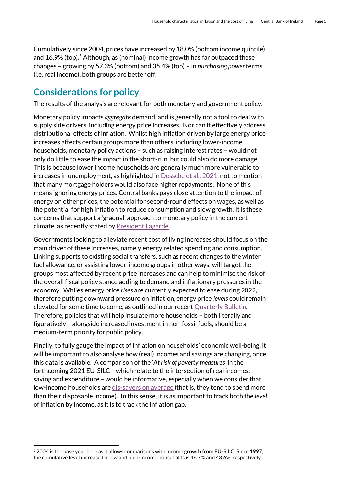Cumulatively since 2004, prices have increased by 18.0% (bottom income quintile) and  $16.9\%$  (top).<sup>5</sup> Although, as (nominal) income growth has far outpaced these changes – growing by 57.3% (bottom) and 35.4% (top) – in *purchasing power* terms (i.e. real income), both groups are better off.

#### **Considerations for policy**

The results of the analysis are relevant for both monetary and government policy.

Monetary policy impacts *aggregate* demand, and is generally not a tool to deal with supply side drivers, including energy price increases. Nor can it effectively address distributional effects of inflation. Whilst high inflation driven by large energy price increases affects certain groups more than others, including lower-income households, monetary policy actions – such as raising interest rates – would not only do little to ease the impact in the short-run, but could also do more damage. This is because lower income households are generally much more vulnerable to increases in unemployment, as highlighted in [Dossche et al., 2021,](https://www.ecb.europa.eu/pub/economic-bulletin/articles/2021/html/ecb.ebart202102_01~1773181511.en.html) not to mention that many mortgage holders would also face higher repayments. None of this means ignoring energy prices. Central banks pays close attention to the impact of energy on other prices, the potential for second-round effects on wages, as well as the potential for high inflation to reduce consumption and slow growth. It is these concerns that support a 'gradual' approach to monetary policy in the current climate, as recently stated b[y President Lagarde.](https://www.ecb.europa.eu/press/inter/date/2022/html/ecb.in220211~237298e6fa.en.html)

Governments looking to alleviate recent cost of living increases should focus on the main driver of these increases, namely energy related spending and consumption. Linking supports to existing social transfers, such as recent changes to the winter fuel allowance, or assisting lower-income groups in other ways, will target the groups most affected by recent price increases and can help to minimise the risk of the overall fiscal policy stance adding to demand and inflationary pressures in the economy. Whiles energy price *rises* are currently expected to ease during 2022, therefore putting downward pressure on inflation, energy price *levels* could remain elevated for some time to come, as outlined in our recent [Quarterly Bulletin.](https://www.centralbank.ie/docs/default-source/publications/quarterly-bulletins/qb-archive/2022/quarterly-bulletin-q1-2022.pdf?sfvrsn=5) Therefore, policies that will help insulate more households – both literally and figuratively – alongside increased investment in non-fossil fuels, should be a medium-term priority for public policy.

Finally, to fully gauge the impact of inflation on households' economic well-being, it will be important to also analyse how (real) incomes and savings are changing, once this data is available. A comparison of the '*At risk of poverty measures'* in the forthcoming 2021 EU-SILC *–* which relate to the intersection of real incomes, saving and expenditure – would be informative, especially when we consider that low-income households are [dis-savers on average](https://www.cso.ie/en/releasesandpublications/ep/p-hbs/hbs20152016/hexp/) (that is, they tend to spend more than their disposable income). In this sense, it is as important to track both the *level* of inflation by income, as it is to track the inflation gap.

.

<sup>5</sup> 2004 is the base year here as it allows comparisons with income growth from EU-SILC. Since 1997, the cumulative level increase for low and high-income households is 46.7% and 43.6%, respectively.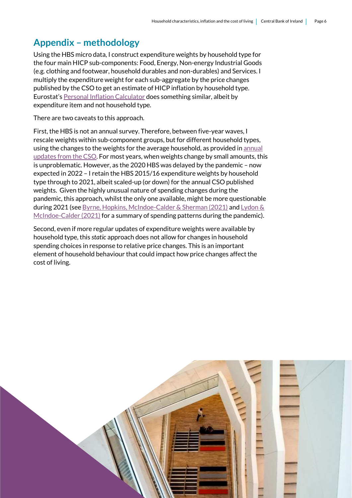#### **Appendix – methodology**

Using the HBS micro data, I construct expenditure weights by household type for the four main HICP sub-components: Food, Energy, Non-energy Industrial Goods (e.g. clothing and footwear, household durables and non-durables) and Services. I multiply the expenditure weight for each sub-aggregate by the price changes published by the CSO to get an estimate of HICP inflation by household type. Eurostat's [Personal Inflation Calculator](https://www.euro-area-statistics.org/digital-publication/statistics-insights-inflation/bloc-4a.html) does something similar, albeit by expenditure item and not household type.

There are two caveats to this approach.

First, the HBS is not an annual survey. Therefore, between five-year waves, I rescale weights within sub-component groups, but for different household types, using the changes to the weights for the average household, as provided in **annual** [updates from the CSO.](https://www.cso.ie/en/media/csoie/methods/consumerpriceindex/Consumer_Price_Index_(CPI)_and_Harmonised_Index_of_Consumer_Prices_(HICP)_expenditure_weights_by_COICOP_Division_2017-2021.xlsx) For most years, when weights change by small amounts, this is unproblematic. However, as the 2020 HBS was delayed by the pandemic – now expected in 2022 – I retain the HBS 2015/16 expenditure weights by household type through to 2021, albeit scaled-up (or down) for the annual CSO published weights. Given the highly unusual nature of spending changes during the pandemic, this approach, whilst the only one available, might be more questionable during 2021 (se[e Byrne, Hopkins, McIndoe-Calder & Sherman \(2021\)](https://www.centralbank.ie/docs/default-source/publications/economic-letters/the-impact-of-covid-19-on-consumer-spending.pdf?sfvrsn=7) an[d Lydon &](https://www.centralbank.ie/docs/default-source/publications/economic-letters/vol-2021-no-4-saving-during-the-pandemic-waiting-out-the-storm-reamonn-lydon-and-tara-mcindoe-calder.pdf?sfvrsn=7)  [McIndoe-Calder \(2021\)](https://www.centralbank.ie/docs/default-source/publications/economic-letters/vol-2021-no-4-saving-during-the-pandemic-waiting-out-the-storm-reamonn-lydon-and-tara-mcindoe-calder.pdf?sfvrsn=7) for a summary of spending patterns during the pandemic).

Second, even if more regular updates of expenditure weights were available by household type, this *static* approach does not allow for changes in household spending choices in response to relative price changes. This is an important element of household behaviour that could impact how price changes affect the cost of living.